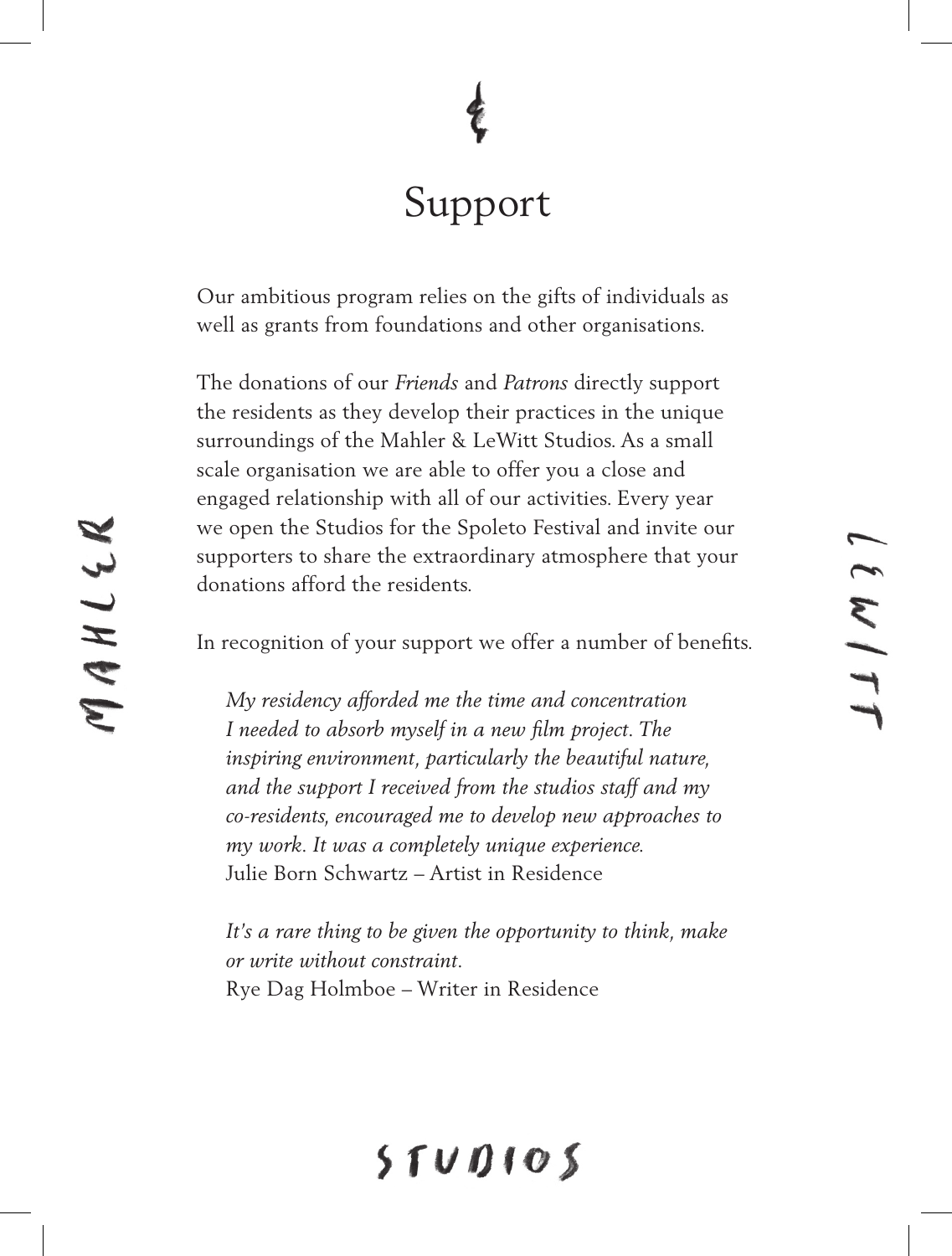# Support

Our ambitious program relies on the gifts of individuals as well as grants from foundations and other organisations.

The donations of our *Friends* and *Patrons* directly support the residents as they develop their practices in the unique surroundings of the Mahler & LeWitt Studios. As a small scale organisation we are able to offer you a close and engaged relationship with all of our activities. Every year we open the Studios for the Spoleto Festival and invite our supporters to share the extraordinary atmosphere that your donations afford the residents.

In recognition of your support we offer a number of benefits.

*My residency afforded me the time and concentration I needed to absorb myself in a new film project. The inspiring environment, particularly the beautiful nature, and the support I received from the studios staff and my co-residents, encouraged me to develop new approaches to my work. It was a completely unique experience.* Julie Born Schwartz – Artist in Residence

*It's a rare thing to be given the opportunity to think, make or write without constraint.* Rye Dag Holmboe – Writer in Residence

# $5TUDIO5$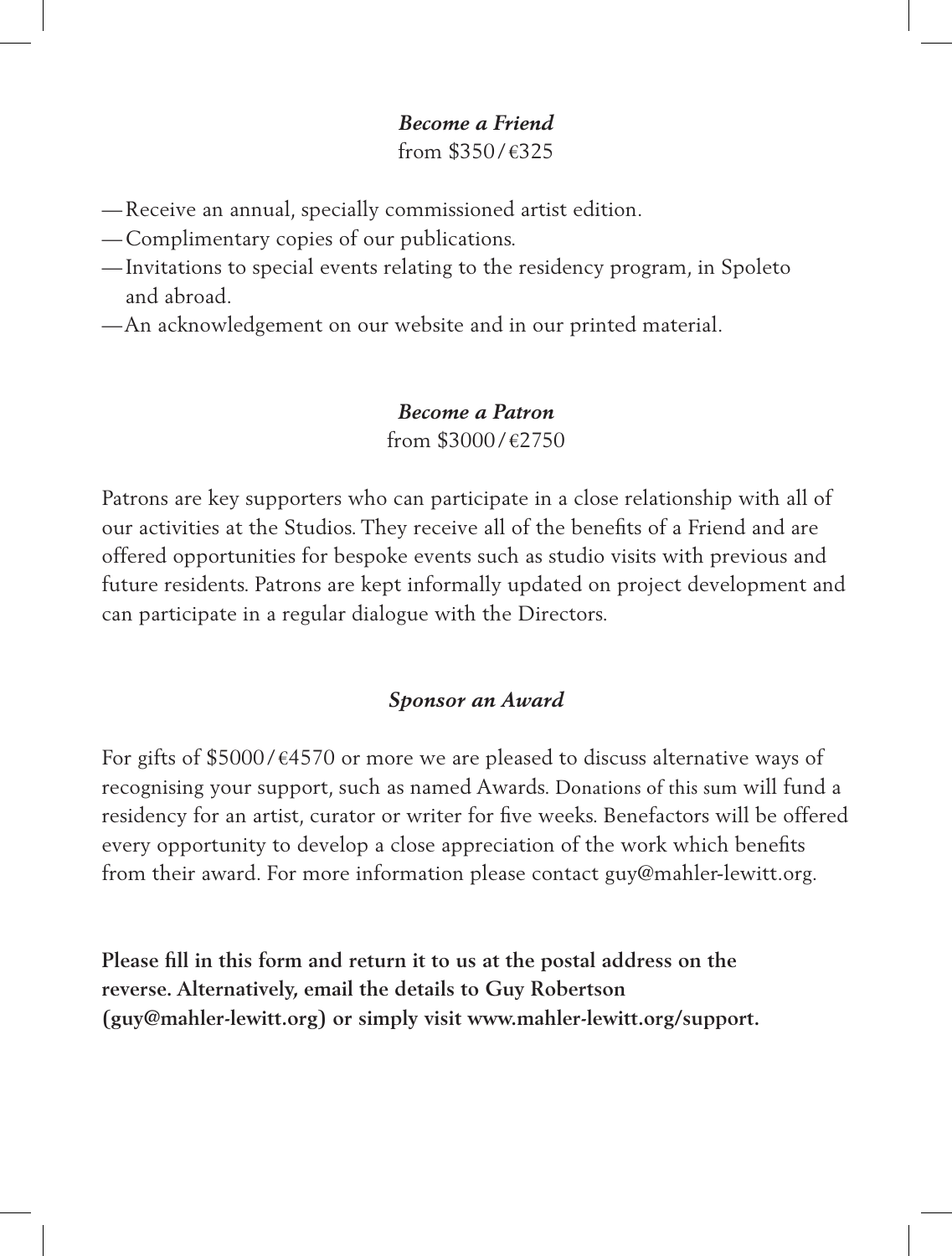# *Become a Friend*

from \$350 / €325

- —Receive an annual, specially commissioned artist edition.
- —Complimentary copies of our publications.
- Invitations to special events relating to the residency program, in Spoleto and abroad.
- —An acknowledgement on our website and in our printed material.

### *Become a Patron* from  $$3000/\text{\textdegree}2750$

Patrons are key supporters who can participate in a close relationship with all of our activities at the Studios. They receive all of the benefits of a Friend and are offered opportunities for bespoke events such as studio visits with previous and future residents. Patrons are kept informally updated on project development and can participate in a regular dialogue with the Directors.

## *Sponsor an Award*

For gifts of \$5000/ $\epsilon$ 4570 or more we are pleased to discuss alternative ways of recognising your support, such as named Awards. Donations of this sum will fund a residency for an artist, curator or writer for five weeks. Benefactors will be offered every opportunity to develop a close appreciation of the work which benefits from their award. For more information please contact guy@mahler-lewitt.org.

**Please fill in this form and return it to us at the postal address on the reverse. Alternatively, email the details to Guy Robertson (guy@mahler-lewitt.org) or simply visit www.mahler-lewitt.org/support.**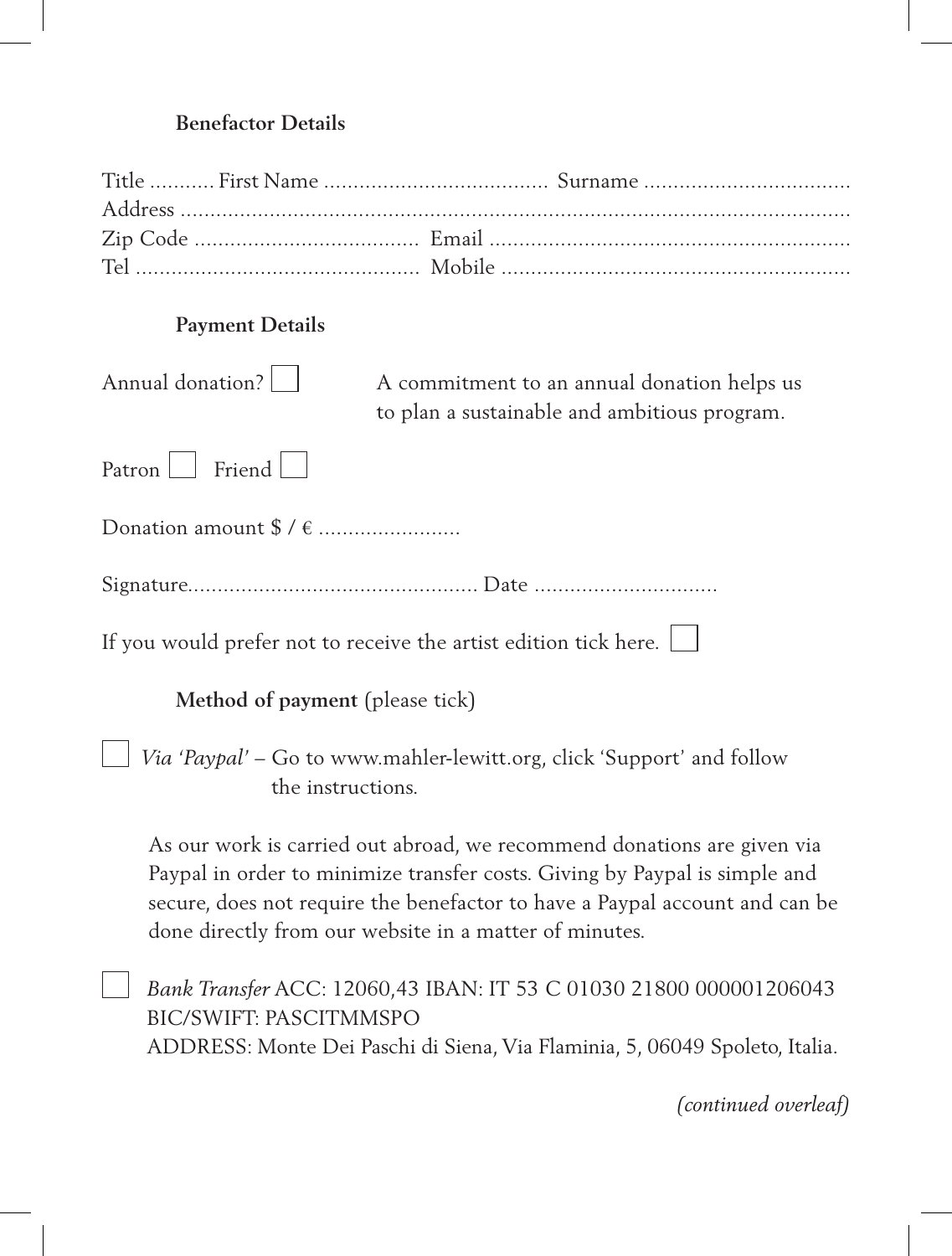#### **Benefactor Details**

#### **Payment Details**

| Annual donation? | A commitment to an annual donation helps us  |
|------------------|----------------------------------------------|
|                  | to plan a sustainable and ambitious program. |

Patron Friend  $\Box$ 

Donation amount \$ / € ........................

Signature................................................. Date ...............................

If you would prefer not to receive the artist edition tick here.

**Method of payment** (please tick)

 *Via 'Paypal'* – Go to www.mahler-lewitt.org, click 'Support' and follow the instructions.

As our work is carried out abroad, we recommend donations are given via Paypal in order to minimize transfer costs. Giving by Paypal is simple and secure, does not require the benefactor to have a Paypal account and can be done directly from our website in a matter of minutes.

 *Bank Transfer* ACC: 12060,43 IBAN: IT 53 C 01030 21800 000001206043 BIC/SWIFT: PASCITMMSPO ADDRESS: Monte Dei Paschi di Siena, Via Flaminia, 5, 06049 Spoleto, Italia.

*(continued overleaf)*